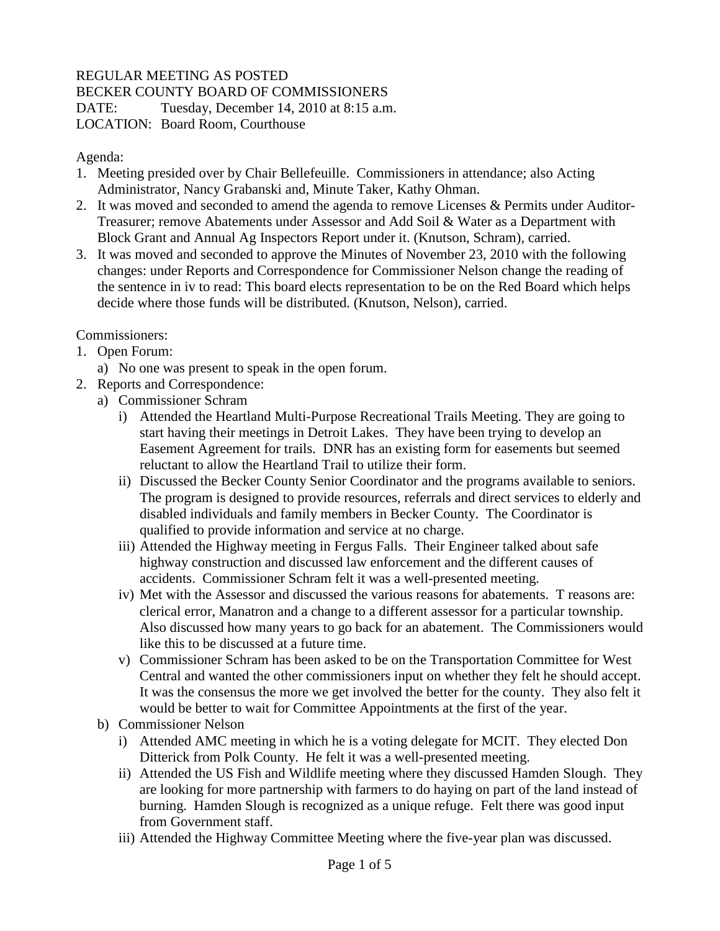## REGULAR MEETING AS POSTED

BECKER COUNTY BOARD OF COMMISSIONERS

DATE: Tuesday, December 14, 2010 at 8:15 a.m.

LOCATION: Board Room, Courthouse

Agenda:

- 1. Meeting presided over by Chair Bellefeuille. Commissioners in attendance; also Acting Administrator, Nancy Grabanski and, Minute Taker, Kathy Ohman.
- 2. It was moved and seconded to amend the agenda to remove Licenses & Permits under Auditor-Treasurer; remove Abatements under Assessor and Add Soil & Water as a Department with Block Grant and Annual Ag Inspectors Report under it. (Knutson, Schram), carried.
- 3. It was moved and seconded to approve the Minutes of November 23, 2010 with the following changes: under Reports and Correspondence for Commissioner Nelson change the reading of the sentence in iv to read: This board elects representation to be on the Red Board which helps decide where those funds will be distributed. (Knutson, Nelson), carried.

Commissioners:

- 1. Open Forum:
	- a) No one was present to speak in the open forum.
- 2. Reports and Correspondence:
	- a) Commissioner Schram
		- i) Attended the Heartland Multi-Purpose Recreational Trails Meeting. They are going to start having their meetings in Detroit Lakes. They have been trying to develop an Easement Agreement for trails. DNR has an existing form for easements but seemed reluctant to allow the Heartland Trail to utilize their form.
		- ii) Discussed the Becker County Senior Coordinator and the programs available to seniors. The program is designed to provide resources, referrals and direct services to elderly and disabled individuals and family members in Becker County. The Coordinator is qualified to provide information and service at no charge.
		- iii) Attended the Highway meeting in Fergus Falls. Their Engineer talked about safe highway construction and discussed law enforcement and the different causes of accidents. Commissioner Schram felt it was a well-presented meeting.
		- iv) Met with the Assessor and discussed the various reasons for abatements. T reasons are: clerical error, Manatron and a change to a different assessor for a particular township. Also discussed how many years to go back for an abatement. The Commissioners would like this to be discussed at a future time.
		- v) Commissioner Schram has been asked to be on the Transportation Committee for West Central and wanted the other commissioners input on whether they felt he should accept. It was the consensus the more we get involved the better for the county. They also felt it would be better to wait for Committee Appointments at the first of the year.
	- b) Commissioner Nelson
		- i) Attended AMC meeting in which he is a voting delegate for MCIT. They elected Don Ditterick from Polk County. He felt it was a well-presented meeting.
		- ii) Attended the US Fish and Wildlife meeting where they discussed Hamden Slough. They are looking for more partnership with farmers to do haying on part of the land instead of burning. Hamden Slough is recognized as a unique refuge. Felt there was good input from Government staff.
		- iii) Attended the Highway Committee Meeting where the five-year plan was discussed.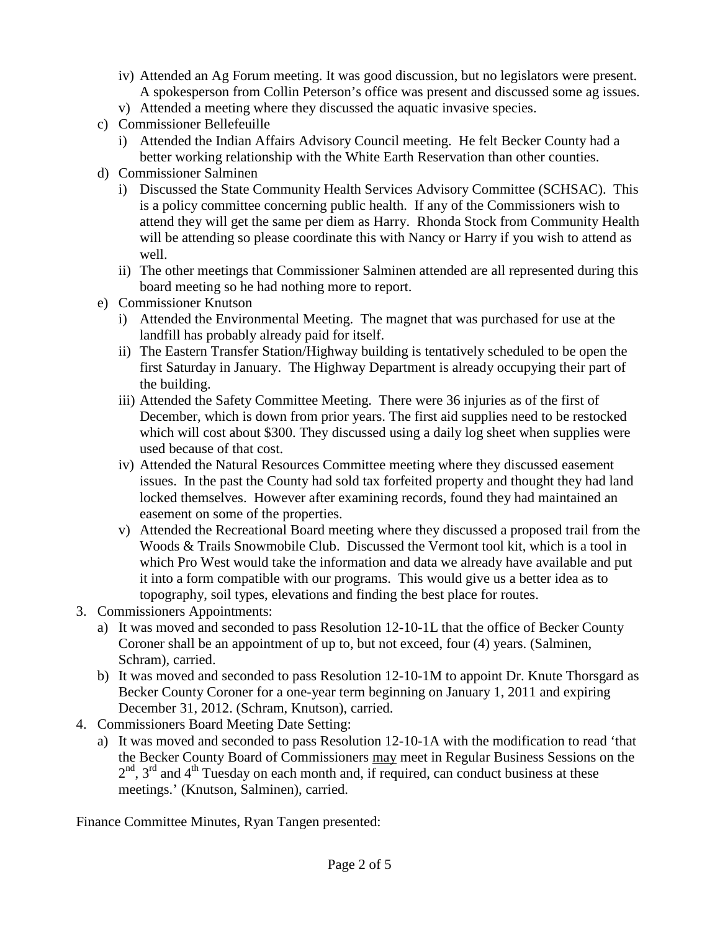- iv) Attended an Ag Forum meeting. It was good discussion, but no legislators were present. A spokesperson from Collin Peterson's office was present and discussed some ag issues.
- v) Attended a meeting where they discussed the aquatic invasive species.
- c) Commissioner Bellefeuille
	- i) Attended the Indian Affairs Advisory Council meeting. He felt Becker County had a better working relationship with the White Earth Reservation than other counties.
- d) Commissioner Salminen
	- i) Discussed the State Community Health Services Advisory Committee (SCHSAC). This is a policy committee concerning public health. If any of the Commissioners wish to attend they will get the same per diem as Harry. Rhonda Stock from Community Health will be attending so please coordinate this with Nancy or Harry if you wish to attend as well.
	- ii) The other meetings that Commissioner Salminen attended are all represented during this board meeting so he had nothing more to report.
- e) Commissioner Knutson
	- i) Attended the Environmental Meeting. The magnet that was purchased for use at the landfill has probably already paid for itself.
	- ii) The Eastern Transfer Station/Highway building is tentatively scheduled to be open the first Saturday in January. The Highway Department is already occupying their part of the building.
	- iii) Attended the Safety Committee Meeting. There were 36 injuries as of the first of December, which is down from prior years. The first aid supplies need to be restocked which will cost about \$300. They discussed using a daily log sheet when supplies were used because of that cost.
	- iv) Attended the Natural Resources Committee meeting where they discussed easement issues. In the past the County had sold tax forfeited property and thought they had land locked themselves. However after examining records, found they had maintained an easement on some of the properties.
	- v) Attended the Recreational Board meeting where they discussed a proposed trail from the Woods & Trails Snowmobile Club. Discussed the Vermont tool kit, which is a tool in which Pro West would take the information and data we already have available and put it into a form compatible with our programs. This would give us a better idea as to topography, soil types, elevations and finding the best place for routes.
- 3. Commissioners Appointments:
	- a) It was moved and seconded to pass Resolution 12-10-1L that the office of Becker County Coroner shall be an appointment of up to, but not exceed, four (4) years. (Salminen, Schram), carried.
	- b) It was moved and seconded to pass Resolution 12-10-1M to appoint Dr. Knute Thorsgard as Becker County Coroner for a one-year term beginning on January 1, 2011 and expiring December 31, 2012. (Schram, Knutson), carried.
- 4. Commissioners Board Meeting Date Setting:
	- a) It was moved and seconded to pass Resolution 12-10-1A with the modification to read 'that the Becker County Board of Commissioners may meet in Regular Business Sessions on the  $2<sup>nd</sup>$ ,  $3<sup>rd</sup>$  and  $4<sup>th</sup>$  Tuesday on each month and, if required, can conduct business at these meetings.' (Knutson, Salminen), carried.

Finance Committee Minutes, Ryan Tangen presented: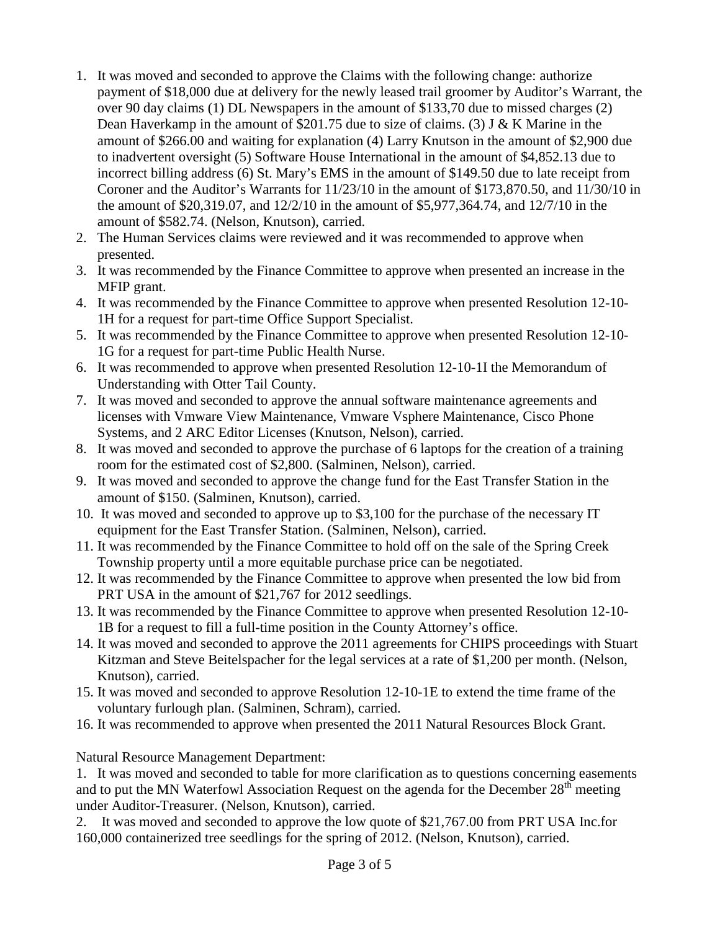- 1. It was moved and seconded to approve the Claims with the following change: authorize payment of \$18,000 due at delivery for the newly leased trail groomer by Auditor's Warrant, the over 90 day claims (1) DL Newspapers in the amount of \$133,70 due to missed charges (2) Dean Haverkamp in the amount of \$201.75 due to size of claims. (3) J & K Marine in the amount of \$266.00 and waiting for explanation (4) Larry Knutson in the amount of \$2,900 due to inadvertent oversight (5) Software House International in the amount of \$4,852.13 due to incorrect billing address (6) St. Mary's EMS in the amount of \$149.50 due to late receipt from Coroner and the Auditor's Warrants for 11/23/10 in the amount of \$173,870.50, and 11/30/10 in the amount of \$20,319.07, and 12/2/10 in the amount of \$5,977,364.74, and 12/7/10 in the amount of \$582.74. (Nelson, Knutson), carried.
- 2. The Human Services claims were reviewed and it was recommended to approve when presented.
- 3. It was recommended by the Finance Committee to approve when presented an increase in the MFIP grant.
- 4. It was recommended by the Finance Committee to approve when presented Resolution 12-10- 1H for a request for part-time Office Support Specialist.
- 5. It was recommended by the Finance Committee to approve when presented Resolution 12-10- 1G for a request for part-time Public Health Nurse.
- 6. It was recommended to approve when presented Resolution 12-10-1I the Memorandum of Understanding with Otter Tail County.
- 7. It was moved and seconded to approve the annual software maintenance agreements and licenses with Vmware View Maintenance, Vmware Vsphere Maintenance, Cisco Phone Systems, and 2 ARC Editor Licenses (Knutson, Nelson), carried.
- 8. It was moved and seconded to approve the purchase of 6 laptops for the creation of a training room for the estimated cost of \$2,800. (Salminen, Nelson), carried.
- 9. It was moved and seconded to approve the change fund for the East Transfer Station in the amount of \$150. (Salminen, Knutson), carried.
- 10. It was moved and seconded to approve up to \$3,100 for the purchase of the necessary IT equipment for the East Transfer Station. (Salminen, Nelson), carried.
- 11. It was recommended by the Finance Committee to hold off on the sale of the Spring Creek Township property until a more equitable purchase price can be negotiated.
- 12. It was recommended by the Finance Committee to approve when presented the low bid from PRT USA in the amount of \$21,767 for 2012 seedlings.
- 13. It was recommended by the Finance Committee to approve when presented Resolution 12-10- 1B for a request to fill a full-time position in the County Attorney's office.
- 14. It was moved and seconded to approve the 2011 agreements for CHIPS proceedings with Stuart Kitzman and Steve Beitelspacher for the legal services at a rate of \$1,200 per month. (Nelson, Knutson), carried.
- 15. It was moved and seconded to approve Resolution 12-10-1E to extend the time frame of the voluntary furlough plan. (Salminen, Schram), carried.
- 16. It was recommended to approve when presented the 2011 Natural Resources Block Grant.

Natural Resource Management Department:

1. It was moved and seconded to table for more clarification as to questions concerning easements and to put the MN Waterfowl Association Request on the agenda for the December 28<sup>th</sup> meeting under Auditor-Treasurer. (Nelson, Knutson), carried.

2. It was moved and seconded to approve the low quote of \$21,767.00 from PRT USA Inc.for 160,000 containerized tree seedlings for the spring of 2012. (Nelson, Knutson), carried.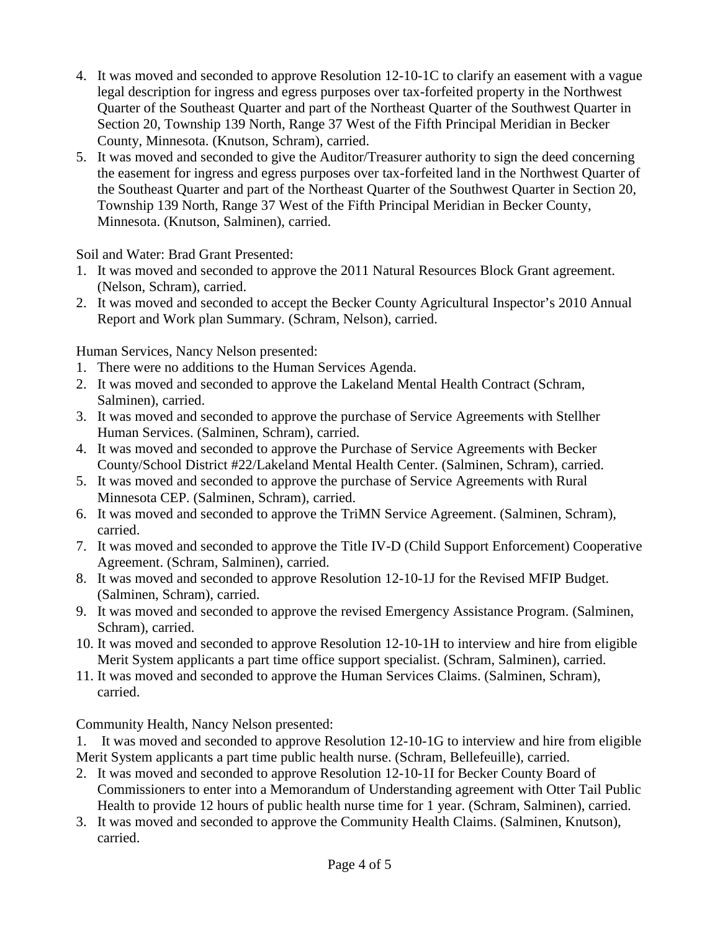- 4. It was moved and seconded to approve Resolution 12-10-1C to clarify an easement with a vague legal description for ingress and egress purposes over tax-forfeited property in the Northwest Quarter of the Southeast Quarter and part of the Northeast Quarter of the Southwest Quarter in Section 20, Township 139 North, Range 37 West of the Fifth Principal Meridian in Becker County, Minnesota. (Knutson, Schram), carried.
- 5. It was moved and seconded to give the Auditor/Treasurer authority to sign the deed concerning the easement for ingress and egress purposes over tax-forfeited land in the Northwest Quarter of the Southeast Quarter and part of the Northeast Quarter of the Southwest Quarter in Section 20, Township 139 North, Range 37 West of the Fifth Principal Meridian in Becker County, Minnesota. (Knutson, Salminen), carried.

Soil and Water: Brad Grant Presented:

- 1. It was moved and seconded to approve the 2011 Natural Resources Block Grant agreement. (Nelson, Schram), carried.
- 2. It was moved and seconded to accept the Becker County Agricultural Inspector's 2010 Annual Report and Work plan Summary. (Schram, Nelson), carried.

Human Services, Nancy Nelson presented:

- 1. There were no additions to the Human Services Agenda.
- 2. It was moved and seconded to approve the Lakeland Mental Health Contract (Schram, Salminen), carried.
- 3. It was moved and seconded to approve the purchase of Service Agreements with Stellher Human Services. (Salminen, Schram), carried.
- 4. It was moved and seconded to approve the Purchase of Service Agreements with Becker County/School District #22/Lakeland Mental Health Center. (Salminen, Schram), carried.
- 5. It was moved and seconded to approve the purchase of Service Agreements with Rural Minnesota CEP. (Salminen, Schram), carried.
- 6. It was moved and seconded to approve the TriMN Service Agreement. (Salminen, Schram), carried.
- 7. It was moved and seconded to approve the Title IV-D (Child Support Enforcement) Cooperative Agreement. (Schram, Salminen), carried.
- 8. It was moved and seconded to approve Resolution 12-10-1J for the Revised MFIP Budget. (Salminen, Schram), carried.
- 9. It was moved and seconded to approve the revised Emergency Assistance Program. (Salminen, Schram), carried.
- 10. It was moved and seconded to approve Resolution 12-10-1H to interview and hire from eligible Merit System applicants a part time office support specialist. (Schram, Salminen), carried.
- 11. It was moved and seconded to approve the Human Services Claims. (Salminen, Schram), carried.

Community Health, Nancy Nelson presented:

1. It was moved and seconded to approve Resolution 12-10-1G to interview and hire from eligible Merit System applicants a part time public health nurse. (Schram, Bellefeuille), carried.

- 2. It was moved and seconded to approve Resolution 12-10-1I for Becker County Board of Commissioners to enter into a Memorandum of Understanding agreement with Otter Tail Public Health to provide 12 hours of public health nurse time for 1 year. (Schram, Salminen), carried.
- 3. It was moved and seconded to approve the Community Health Claims. (Salminen, Knutson), carried.